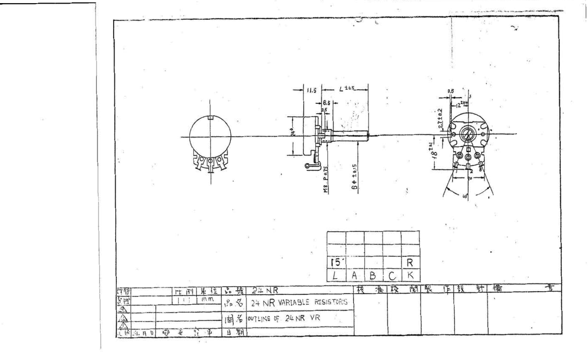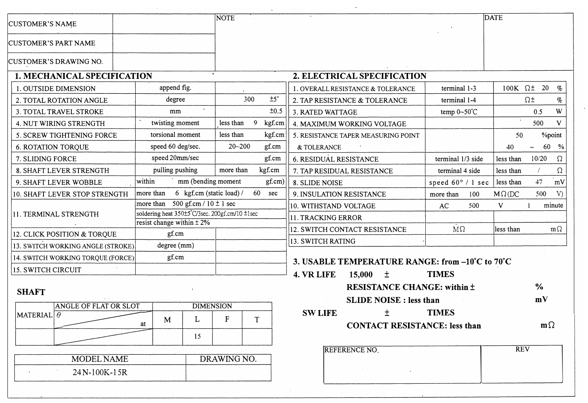| <b>CUSTOMER'S NAME</b>            |                                                | <b>NOTE</b> |             |                                                 |                            | <b>DATE</b>   |                    |           |
|-----------------------------------|------------------------------------------------|-------------|-------------|-------------------------------------------------|----------------------------|---------------|--------------------|-----------|
| <b>CUSTOMER'S PART NAME</b>       |                                                |             |             |                                                 |                            |               |                    |           |
| <b>CUSTOMER'S DRAWING NO.</b>     |                                                |             |             |                                                 |                            |               |                    |           |
| 1. MECHANICAL SPECIFICATION       |                                                |             |             | 2. ELECTRICAL SPECIFICATION                     |                            |               |                    |           |
| 1. OUTSIDE DIMENSION              | append fig.                                    |             |             | . OVERALL RESISTANCE & TOLERANCE                | terminal 1-3               |               | 100K $\Omega$ ± 20 | $\%$      |
| 2. TOTAL ROTATION ANGLE           | degree                                         | 300         | ±5°         | 2. TAP RESISTANCE & TOLERANCE                   | terminal 1-4               |               | $\Omega^+$         | $\%$      |
| 3. TOTAL TRAVEL STROKE            | mm                                             |             | ±0.5        | 3. RATED WATTAGE                                | temp $0 \sim 50^{\circ}$ C |               | 0.5                | W         |
| 4. NUT WIRING STRENGTH            | twisting moment                                | less than   | 9<br>kgf.cm | 4. MAXIMUM WORKING VOLTAGE                      |                            |               | 500                | V         |
| 5. SCREW TIGHTENING FORCE         | torsional moment                               | less than   | kgf.cm      | 5. RESISTANCE TAPER MEASURING POINT             |                            | 50            | %point             |           |
| <b>6. ROTATION TORQUE</b>         | speed 60 deg/sec.                              | $20 - 200$  | gf.cm       | & TOLERANCE                                     |                            | 40            |                    | 60 %      |
| 7. SLIDING FORCE                  | speed 20mm/sec                                 |             | gf.cm       | <b>6. RESIDUAL RESISTANCE</b>                   | terminal 1/3 side          | less than     | 10/20              | Ω         |
| 8. SHAFT LEVER STRENGTH           | pulling pushing                                | more than   | kgf.cm      | 7. TAP RESIDUAL RESISTANCE                      | terminal 4 side            | less than     |                    | $\Omega$  |
| 9. SHAFT LEVER WOBBLE             | within<br>mm (bending moment                   |             | gf.cm)      | 8. SLIDE NOISE                                  | speed $60^{\circ}$ / 1 sec | less than     | 47                 | mV        |
| 10. SHAFT LEVER STOP STRENGTH     | more than<br>6 kgf.cm (static load) /          |             | 60 sec      | 9. INSULATION RESISTANCE                        | 100<br>more than           | $M\Omega$ (DC | 500                | V)        |
|                                   | more than 500 gf.cm / $10 \pm 1$ sec           |             |             | 10. WITHSTAND VOLTAGE                           | AC<br>500                  | V             |                    | minute    |
| 11. TERMINAL STRENGTH             | soldering heat 350±5°C/3sec. 200gf.cm/10 ±1sec |             |             | 11. TRACKING ERROR                              |                            |               |                    |           |
| 12. CLICK POSITION & TORQUE       | resist change within $\pm 2\%$<br>gf.cm        |             |             | 12. SWITCH CONTACT RESISTANCE                   | $M\Omega$                  | less than     |                    | $m\Omega$ |
|                                   | degree (mm)                                    |             |             | 13. SWITCH RATING                               |                            |               |                    |           |
| 13. SWITCH WORKING ANGLE (STROKE) | gf.cm                                          |             |             |                                                 |                            |               |                    |           |
| 14. SWITCH WORKING TORQUE (FORCE) |                                                |             |             | 3. USABLE TEMPERATURE RANGE: from -10°C to 70°C |                            |               |                    |           |
| <b>15. SWITCH CIRCUIT</b>         |                                                |             |             | 4. VR LIFE<br>15,000<br>土                       | <b>TIMES</b>               |               |                    |           |

 $\mathcal{L}^{\mathcal{L}}$ 

 $\sim 10$ 

|                              | ANGLE OF FLAT OR SLOT |   |     | <b>DIMENSION</b> |                | SLIDE NOISE : Jess than        |              |
|------------------------------|-----------------------|---|-----|------------------|----------------|--------------------------------|--------------|
| $ \text{MATERIAL} $ $\theta$ |                       | M | . . |                  | <b>SW LIFE</b> |                                | <b>TIMES</b> |
|                              | at                    |   |     |                  |                | <b>CONTACT RESISTANCE: les</b> |              |

 $\sim 10$ 

| <b>MODEL NAME</b> | DRAWING NO. |
|-------------------|-------------|
| 24N-100K-15R      |             |

|                   |                               |   |                  |   | 4. VR LIFE     | 15,000 | TIMES                                |                    |
|-------------------|-------------------------------|---|------------------|---|----------------|--------|--------------------------------------|--------------------|
| <b>SHAFT</b>      |                               |   |                  |   |                |        | <b>RESISTANCE CHANGE: within ±</b>   | $\frac{6}{6}$      |
|                   | $\bullet$ $\bullet$ $\bullet$ |   |                  |   |                |        | <b>SLIDE NOISE</b> : less than       | $m\lambda$         |
|                   | ANGLE OF FLAT OR SLOT         |   | <b>DIMENSION</b> |   |                |        |                                      |                    |
| MATERIAL $\theta$ |                               |   |                  | m | <b>SW LIFE</b> |        | <b>TIMES</b>                         |                    |
|                   | at                            | M |                  |   |                |        | <b>CONTACT RESISTANCE: less than</b> | $\mathbf{m}\Omega$ |
|                   |                               |   |                  |   |                |        |                                      |                    |

| REFERENCE NO. | <b>RFV</b> |  |
|---------------|------------|--|
|               |            |  |
|               |            |  |
|               |            |  |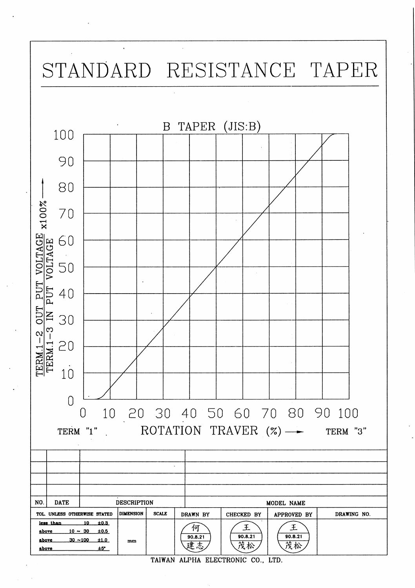